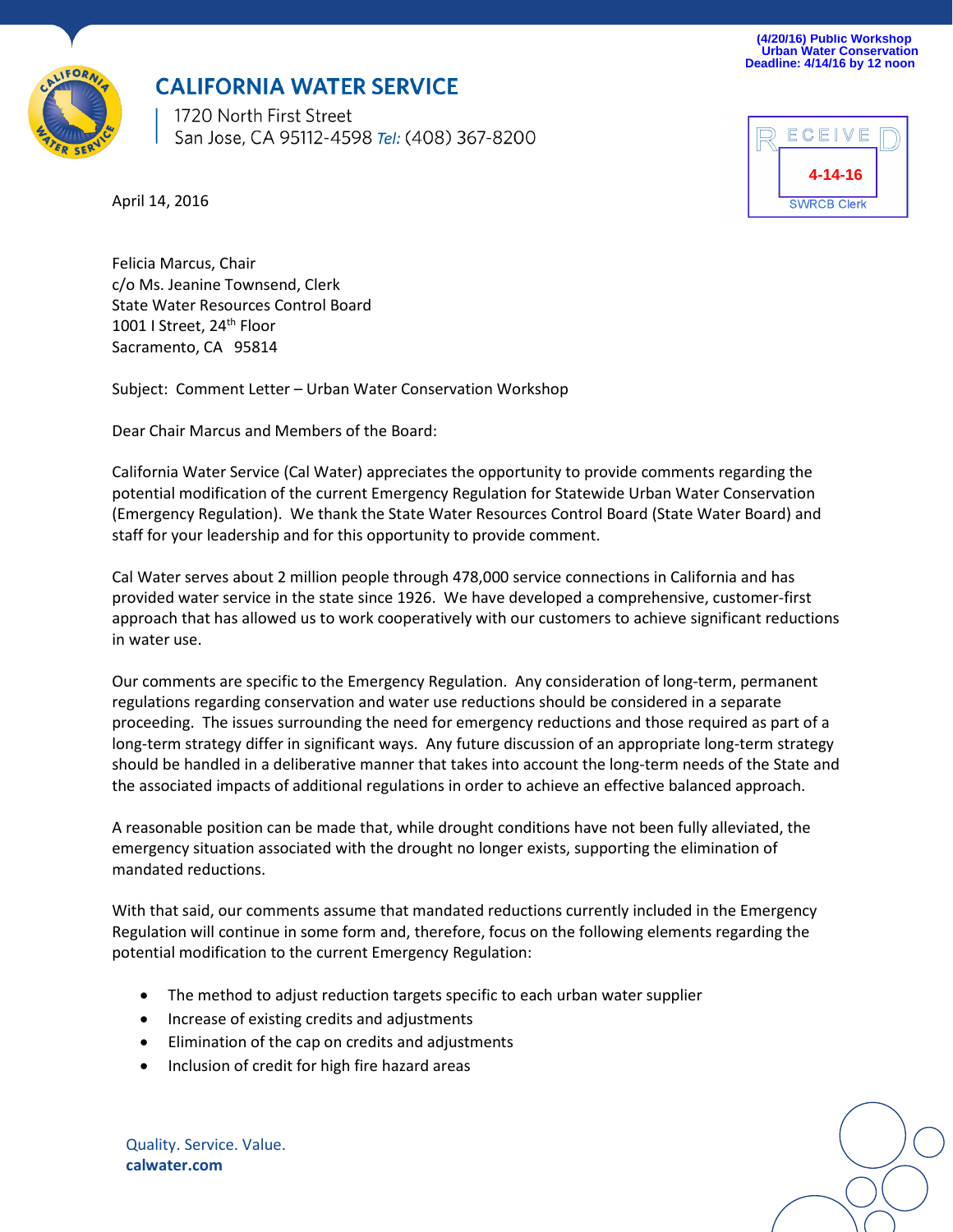**(4/20/16) Public Workshop Urban Water Conservation Deadline: 4/14/16 by 12 noon** 



## **CALIFORNIA WATER SERVICE**

1720 North First Street San Jose, CA 95112-4598 Tel: (408) 367-8200



April 14, 2016

Felicia Marcus, Chair c/o Ms. Jeanine Townsend, Clerk State Water Resources Control Board 1001 I Street, 24<sup>th</sup> Floor Sacramento, CA 95814

Subject: Comment Letter – Urban Water Conservation Workshop

Dear Chair Marcus and Members of the Board:

California Water Service (Cal Water) appreciates the opportunity to provide comments regarding the potential modification of the current Emergency Regulation for Statewide Urban Water Conservation (Emergency Regulation). We thank the State Water Resources Control Board (State Water Board) and staff for your leadership and for this opportunity to provide comment.

Cal Water serves about 2 million people through 478,000 service connections in California and has provided water service in the state since 1926. We have developed a comprehensive, customer-first approach that has allowed us to work cooperatively with our customers to achieve significant reductions in water use.

Our comments are specific to the Emergency Regulation. Any consideration of long-term, permanent regulations regarding conservation and water use reductions should be considered in a separate proceeding. The issues surrounding the need for emergency reductions and those required as part of a long-term strategy differ in significant ways. Any future discussion of an appropriate long-term strategy should be handled in a deliberative manner that takes into account the long-term needs of the State and the associated impacts of additional regulations in order to achieve an effective balanced approach.

A reasonable position can be made that, while drought conditions have not been fully alleviated, the emergency situation associated with the drought no longer exists, supporting the elimination of mandated reductions.

With that said, our comments assume that mandated reductions currently included in the Emergency Regulation will continue in some form and, therefore, focus on the following elements regarding the potential modification to the current Emergency Regulation:

- The method to adjust reduction targets specific to each urban water supplier
- Increase of existing credits and adjustments
- Elimination of the cap on credits and adjustments
- Inclusion of credit for high fire hazard areas

Quality. Service. Value. **calwater.com**

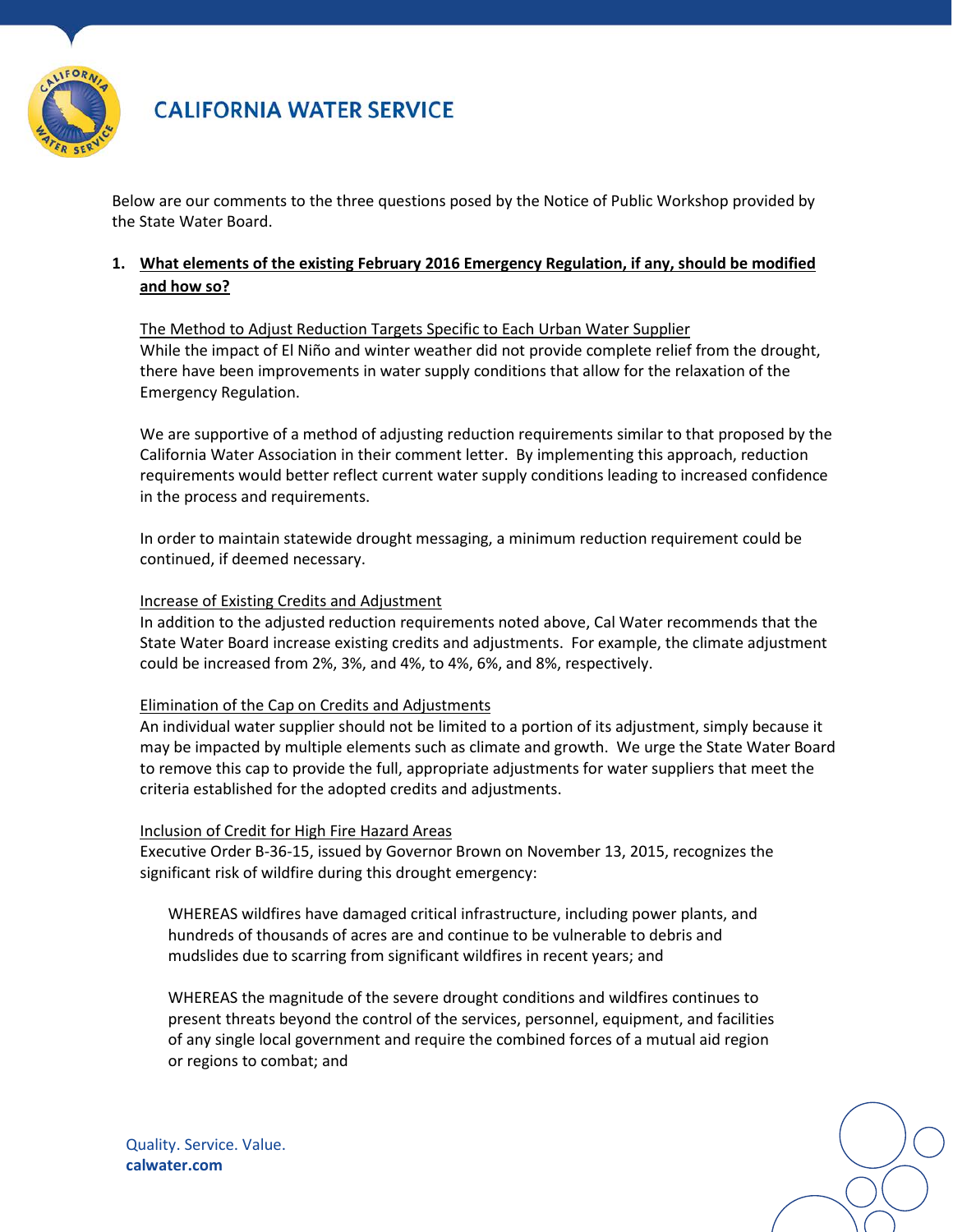

## **CALIFORNIA WATER SERVICE**

Below are our comments to the three questions posed by the Notice of Public Workshop provided by the State Water Board.

### **1. What elements of the existing February 2016 Emergency Regulation, if any, should be modified and how so?**

The Method to Adjust Reduction Targets Specific to Each Urban Water Supplier While the impact of El Niño and winter weather did not provide complete relief from the drought, there have been improvements in water supply conditions that allow for the relaxation of the Emergency Regulation.

We are supportive of a method of adjusting reduction requirements similar to that proposed by the California Water Association in their comment letter. By implementing this approach, reduction requirements would better reflect current water supply conditions leading to increased confidence in the process and requirements.

In order to maintain statewide drought messaging, a minimum reduction requirement could be continued, if deemed necessary.

#### Increase of Existing Credits and Adjustment

In addition to the adjusted reduction requirements noted above, Cal Water recommends that the State Water Board increase existing credits and adjustments. For example, the climate adjustment could be increased from 2%, 3%, and 4%, to 4%, 6%, and 8%, respectively.

#### Elimination of the Cap on Credits and Adjustments

An individual water supplier should not be limited to a portion of its adjustment, simply because it may be impacted by multiple elements such as climate and growth. We urge the State Water Board to remove this cap to provide the full, appropriate adjustments for water suppliers that meet the criteria established for the adopted credits and adjustments.

#### Inclusion of Credit for High Fire Hazard Areas

Executive Order B-36-15, issued by Governor Brown on November 13, 2015, recognizes the significant risk of wildfire during this drought emergency:

WHEREAS wildfires have damaged critical infrastructure, including power plants, and hundreds of thousands of acres are and continue to be vulnerable to debris and mudslides due to scarring from significant wildfires in recent years; and

WHEREAS the magnitude of the severe drought conditions and wildfires continues to present threats beyond the control of the services, personnel, equipment, and facilities of any single local government and require the combined forces of a mutual aid region or regions to combat; and